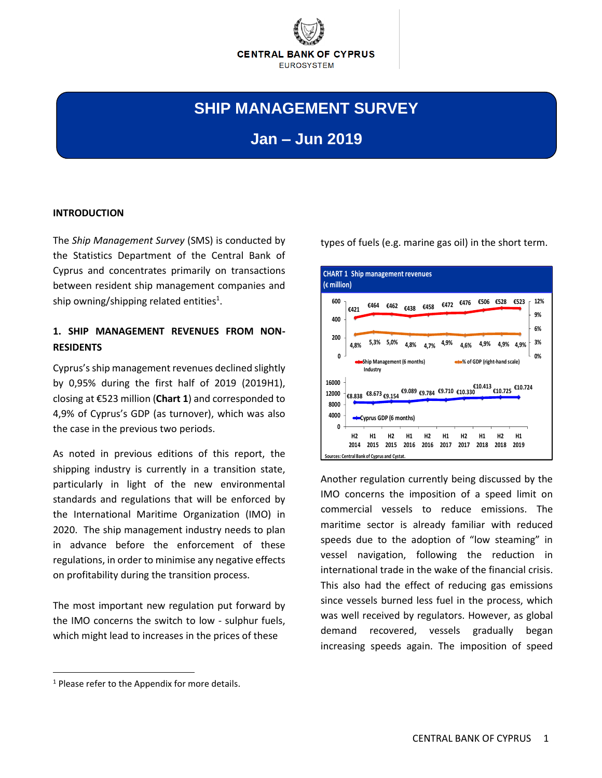

# **SHIP MANAGEMENT SURVEY**

**Jan – Jun 2019**

#### **INTRODUCTION**

The *Ship Management Survey* (SMS) is conducted by the Statistics Department of the Central Bank of Cyprus and concentrates primarily on transactions between resident ship management companies and ship owning/shipping related entities<sup>1</sup>.

## **1. SHIP MANAGEMENT REVENUES FROM NON-RESIDENTS**

Cyprus's ship management revenues declined slightly by 0,95% during the first half of 2019 (2019H1), closing at €523 million (**Chart 1**) and corresponded to 4,9% of Cyprus's GDP (as turnover), which was also the case in the previous two periods.

As noted in previous editions of this report, the shipping industry is currently in a transition state, particularly in light of the new environmental standards and regulations that will be enforced by the International Maritime Organization (IMO) in 2020. The ship management industry needs to plan in advance before the enforcement of these regulations, in order to minimise any negative effects on profitability during the transition process.

The most important new regulation put forward by the IMO concerns the switch to low - sulphur fuels, which might lead to increases in the prices of these

Another regulation currently being discussed by the IMO concerns the imposition of a speed limit on commercial vessels to reduce emissions. The maritime sector is already familiar with reduced speeds due to the adoption of "low steaming" in vessel navigation, following the reduction in international trade in the wake of the financial crisis. This also had the effect of reducing gas emissions since vessels burned less fuel in the process, which was well received by regulators. However, as global demand recovered, vessels gradually began increasing speeds again. The imposition of speed

 $\overline{a}$ 

types of fuels (e.g. marine gas oil) in the short term.

**<sup>€8.838</sup> €8.673 €9.154 €9.089 €9.784 €9.710 €10.330 €10.413 €10.725 €10.724 0 4000 8000 12000 16000 H2 2014 2015 2015 2016 2016 2017 2017 2018 2018 2019 H1 H2 H1 H2 H1 H2 H1 H2 H1 Chart 1: Ship Management Revenues (current prices) Cyprus GDP (6 months) €421 €464 €462 €438 €458 €472 €476 €506 €528 €523 4,8% 5,3% 5,0% 4,8% 4,7% 4,9% 4,6% 4,9% 4,9% 4,9% 0% 3% 6% 9% 12% 0 200 400 600 Ship Management (6 months) Industry % of GDP (right-hand scale) Es: Central Bank of Cyprus and Cystat. CHART 1 Ship management revenues (€ million)**

 $<sup>1</sup>$  Please refer to the Appendix for more details.</sup>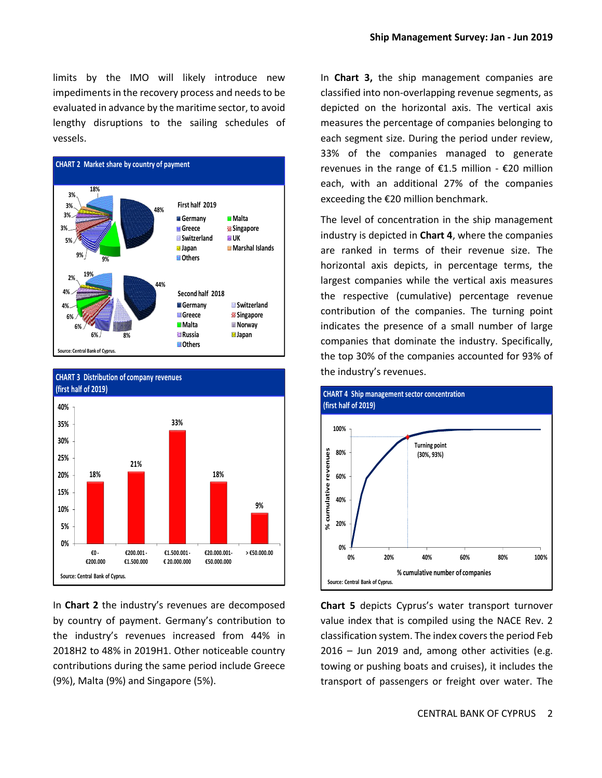limits by the IMO will likely introduce new impediments in the recovery process and needs to be evaluated in advance by the maritime sector, to avoid lengthy disruptions to the sailing schedules of vessels.





In **Chart 2** the industry's revenues are decomposed by country of payment. Germany's contribution to the industry's revenues increased from 44% in 2018H2 to 48% in 2019H1. Other noticeable country contributions during the same period include Greece (9%), Malta (9%) and Singapore (5%).

In **Chart 3,** the ship management companies are classified into non-overlapping revenue segments, as depicted on the horizontal axis. The vertical axis measures the percentage of companies belonging to each segment size. During the period under review, 33% of the companies managed to generate revenues in the range of €1.5 million - €20 million each, with an additional 27% of the companies exceeding the €20 million benchmark.

The level of concentration in the ship management industry is depicted in **Chart 4**, where the companies are ranked in terms of their revenue size. The horizontal axis depicts, in percentage terms, the largest companies while the vertical axis measures the respective (cumulative) percentage revenue contribution of the companies. The turning point indicates the presence of a small number of large companies that dominate the industry. Specifically, the top 30% of the companies accounted for 93% of the industry's revenues.



**Chart 5** depicts Cyprus's water transport turnover value index that is compiled using the NACE Rev. 2 classification system. The index covers the period Feb 2016 – Jun 2019 and, among other activities (e.g. towing or pushing boats and cruises), it includes the transport of passengers or freight over water. The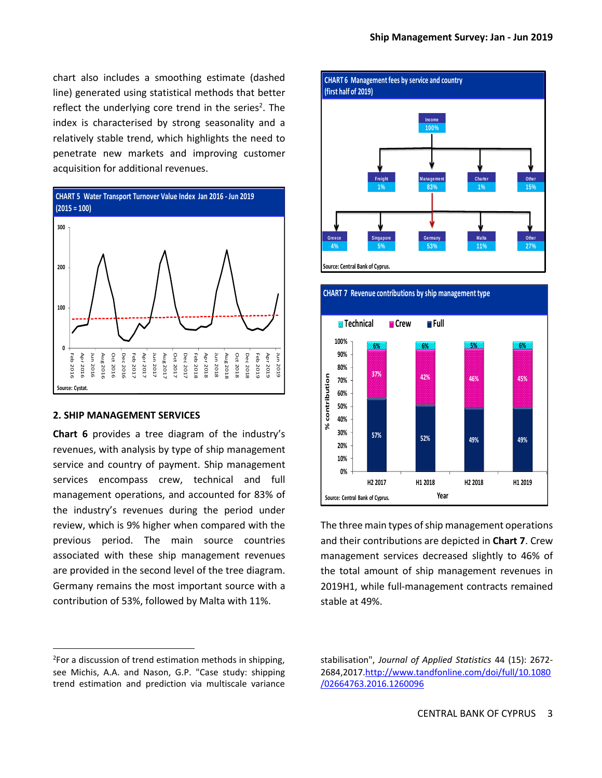chart also includes a smoothing estimate (dashed line) generated using statistical methods that better reflect the underlying core trend in the series<sup>2</sup>. The index is characterised by strong seasonality and a relatively stable trend, which highlights the need to penetrate new markets and improving customer acquisition for additional revenues.



#### **2. SHIP MANAGEMENT SERVICES**

 $\overline{a}$ 

**Chart 6** provides a tree diagram of the industry's revenues, with analysis by type of ship management service and country of payment. Ship management services encompass crew, technical and full management operations, and accounted for 83% of the industry's revenues during the period under review, which is 9% higher when compared with the previous period. The main source countries associated with these ship management revenues are provided in the second level of the tree diagram. Germany remains the most important source with a contribution of 53%, followed by Malta with 11%.





The three main types of ship management operations and their contributions are depicted in **Chart 7**. Crew management services decreased slightly to 46% of the total amount of ship management revenues in 2019H1, while full-management contracts remained stable at 49%.

<sup>&</sup>lt;sup>2</sup>For a discussion of trend estimation methods in shipping, see Michis, A.A. and Nason, G.P. "Case study: shipping trend estimation and prediction via multiscale variance

stabilisation", *Journal of Applied Statistics* 44 (15): 2672- 2684,201[7.http://www.tandfonline.com/doi/full/10.1080](http://www.tandfonline.com/doi/full/10.1080/02664763.2016.1260096) [/02664763.2016.1260096](http://www.tandfonline.com/doi/full/10.1080/02664763.2016.1260096)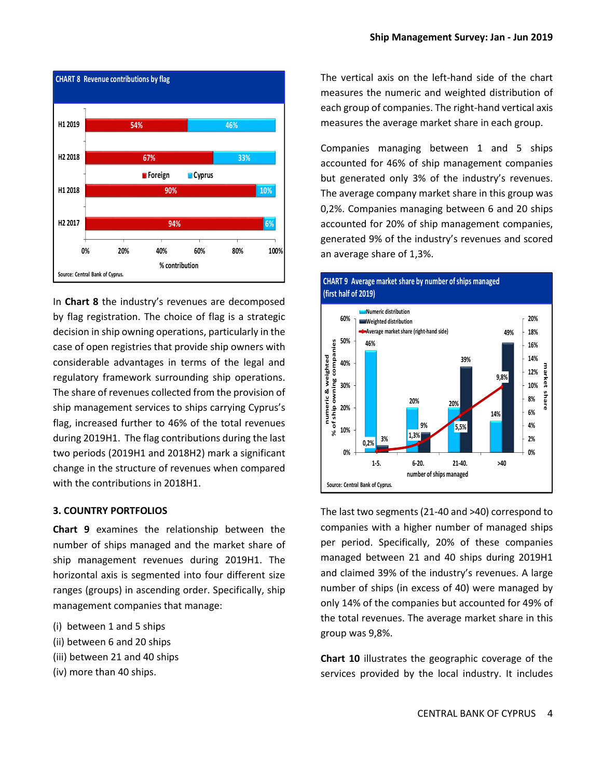

In **Chart 8** the industry's revenues are decomposed by flag registration. The choice of flag is a strategic decision in ship owning operations, particularly in the case of open registries that provide ship owners with considerable advantages in terms of the legal and regulatory framework surrounding ship operations. The share of revenues collected from the provision of ship management services to ships carrying Cyprus's flag, increased further to 46% of the total revenues during 2019H1. The flag contributions during the last two periods (2019H1 and 2018H2) mark a significant change in the structure of revenues when compared with the contributions in 2018H1.

#### **3. COUNTRY PORTFOLIOS**

**Chart 9** examines the relationship between the number of ships managed and the market share of ship management revenues during 2019H1. The horizontal axis is segmented into four different size ranges (groups) in ascending order. Specifically, ship management companies that manage:

- (i) between 1 and 5 ships
- (ii) between 6 and 20 ships
- (iii) between 21 and 40 ships
- (iv) more than 40 ships.

The vertical axis on the left-hand side of the chart measures the numeric and weighted distribution of each group of companies. The right-hand vertical axis measures the average market share in each group.

Companies managing between 1 and 5 ships accounted for 46% of ship management companies but generated only 3% of the industry's revenues. The average company market share in this group was 0,2%. Companies managing between 6 and 20 ships accounted for 20% of ship management companies, generated 9% of the industry's revenues and scored an average share of 1,3%.



### **CHART 9 Average market share by number of ships managed (first half of 2019)**

The last two segments (21-40 and >40) correspond to companies with a higher number of managed ships per period. Specifically, 20% of these companies managed between 21 and 40 ships during 2019H1 and claimed 39% of the industry's revenues. A large number of ships (in excess of 40) were managed by only 14% of the companies but accounted for 49% of the total revenues. The average market share in this group was 9,8%.

**Chart 10** illustrates the geographic coverage of the services provided by the local industry. It includes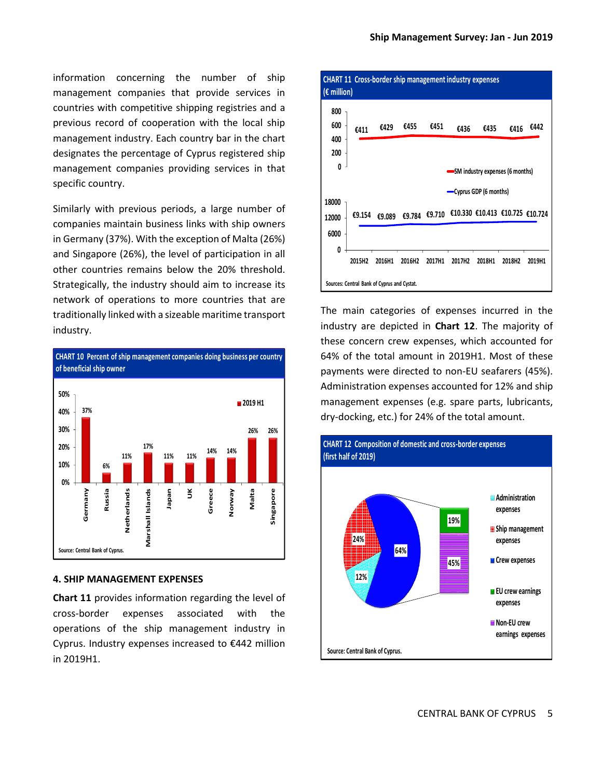information concerning the number of ship management companies that provide services in countries with competitive shipping registries and a previous record of cooperation with the local ship management industry. Each country bar in the chart designates the percentage of Cyprus registered ship management companies providing services in that specific country.

Similarly with previous periods, a large number of companies maintain business links with ship owners in Germany (37%). With the exception of Malta (26%) and Singapore (26%), the level of participation in all other countries remains below the 20% threshold. Strategically, the industry should aim to increase its network of operations to more countries that are traditionally linked with a sizeable maritime transport industry.



#### **4. SHIP MANAGEMENT EXPENSES**

**Chart 11** provides information regarding the level of cross-border expenses associated with the operations of the ship management industry in Cyprus. Industry expenses increased to €442 million in 2019H1.



The main categories of expenses incurred in the industry are depicted in **Chart 12**. The majority of these concern crew expenses, which accounted for 64% of the total amount in 2019H1. Most of these payments were directed to non-EU seafarers (45%). Administration expenses accounted for 12% and ship management expenses (e.g. spare parts, lubricants, dry-docking, etc.) for 24% of the total amount.

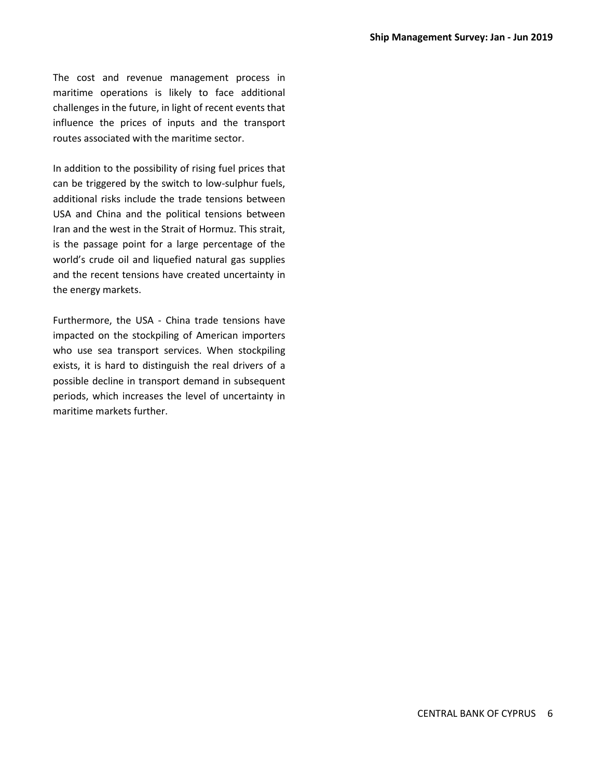The cost and revenue management process in maritime operations is likely to face additional challenges in the future, in light of recent events that influence the prices of inputs and the transport routes associated with the maritime sector.

In addition to the possibility of rising fuel prices that can be triggered by the switch to low-sulphur fuels, additional risks include the trade tensions between USA and China and the political tensions between Iran and the west in the Strait of Hormuz. This strait, is the passage point for a large percentage of the world's crude oil and liquefied natural gas supplies and the recent tensions have created uncertainty in the energy markets.

Furthermore, the USA - China trade tensions have impacted on the stockpiling of American importers who use sea transport services. When stockpiling exists, it is hard to distinguish the real drivers of a possible decline in transport demand in subsequent periods, which increases the level of uncertainty in maritime markets further.